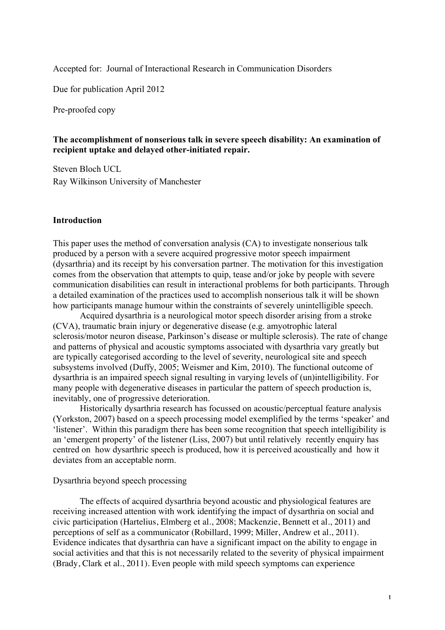Accepted for: Journal of Interactional Research in Communication Disorders

Due for publication April 2012

Pre-proofed copy

# **The accomplishment of nonserious talk in severe speech disability: An examination of recipient uptake and delayed other-initiated repair.**

Steven Bloch UCL Ray Wilkinson University of Manchester

### **Introduction**

This paper uses the method of conversation analysis (CA) to investigate nonserious talk produced by a person with a severe acquired progressive motor speech impairment (dysarthria) and its receipt by his conversation partner. The motivation for this investigation comes from the observation that attempts to quip, tease and/or joke by people with severe communication disabilities can result in interactional problems for both participants. Through a detailed examination of the practices used to accomplish nonserious talk it will be shown how participants manage humour within the constraints of severely unintelligible speech.

Acquired dysarthria is a neurological motor speech disorder arising from a stroke (CVA), traumatic brain injury or degenerative disease (e.g. amyotrophic lateral sclerosis/motor neuron disease, Parkinson's disease or multiple sclerosis). The rate of change and patterns of physical and acoustic symptoms associated with dysarthria vary greatly but are typically categorised according to the level of severity, neurological site and speech subsystems involved (Duffy, 2005; Weismer and Kim, 2010). The functional outcome of dysarthria is an impaired speech signal resulting in varying levels of (un)intelligibility. For many people with degenerative diseases in particular the pattern of speech production is, inevitably, one of progressive deterioration.

Historically dysarthria research has focussed on acoustic/perceptual feature analysis (Yorkston, 2007) based on a speech processing model exemplified by the terms 'speaker' and 'listener'. Within this paradigm there has been some recognition that speech intelligibility is an 'emergent property' of the listener (Liss, 2007) but until relatively recently enquiry has centred on how dysarthric speech is produced, how it is perceived acoustically and how it deviates from an acceptable norm.

### Dysarthria beyond speech processing

The effects of acquired dysarthria beyond acoustic and physiological features are receiving increased attention with work identifying the impact of dysarthria on social and civic participation (Hartelius, Elmberg et al., 2008; Mackenzie, Bennett et al., 2011) and perceptions of self as a communicator (Robillard, 1999; Miller, Andrew et al., 2011). Evidence indicates that dysarthria can have a significant impact on the ability to engage in social activities and that this is not necessarily related to the severity of physical impairment (Brady, Clark et al., 2011). Even people with mild speech symptoms can experience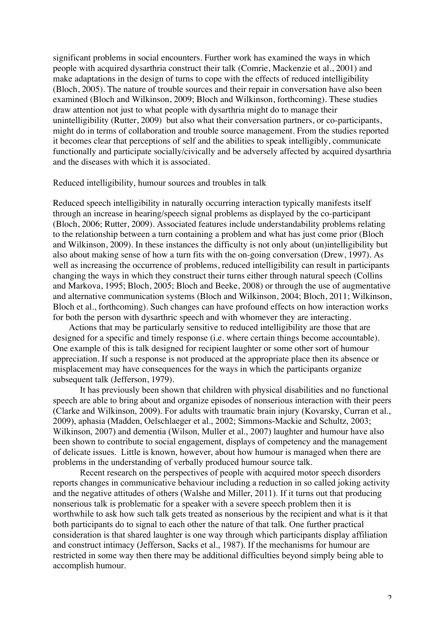significant problems in social encounters. Further work has examined the ways in which people with acquired dysarthria construct their talk (Comrie, Mackenzie et al., 2001) and make adaptations in the design of turns to cope with the effects of reduced intelligibility (Bloch, 2005). The nature of trouble sources and their repair in conversation have also been examined (Bloch and Wilkinson, 2009; Bloch and Wilkinson, forthcoming). These studies draw attention not just to what people with dysarthria might do to manage their unintelligibility (Rutter, 2009) but also what their conversation partners, or co-participants, might do in terms of collaboration and trouble source management. From the studies reported it becomes clear that perceptions of self and the abilities to speak intelligibly, communicate functionally and participate socially/civically and be adversely affected by acquired dysarthria and the diseases with which it is associated.

Reduced intelligibility, humour sources and troubles in talk

Reduced speech intelligibility in naturally occurring interaction typically manifests itself through an increase in hearing/speech signal problems as displayed by the co-participant (Bloch, 2006; Rutter, 2009). Associated features include understandability problems relating to the relationship between a turn containing a problem and what has just come prior (Bloch and Wilkinson, 2009). In these instances the difficulty is not only about (un)intelligibility but also about making sense of how a turn fits with the on-going conversation (Drew, 1997). As well as increasing the occurrence of problems, reduced intelligibility can result in participants changing the ways in which they construct their turns either through natural speech (Collins and Markova, 1995; Bloch, 2005; Bloch and Beeke, 2008) or through the use of augmentative and alternative communication systems (Bloch and Wilkinson, 2004; Bloch, 2011; Wilkinson, Bloch et al., forthcoming). Such changes can have profound effects on how interaction works for both the person with dysarthric speech and with whomever they are interacting.

Actions that may be particularly sensitive to reduced intelligibility are those that are designed for a specific and timely response (i.e. where certain things become accountable). One example of this is talk designed for recipient laughter or some other sort of humour appreciation. If such a response is not produced at the appropriate place then its absence or misplacement may have consequences for the ways in which the participants organize subsequent talk (Jefferson, 1979).

It has previously been shown that children with physical disabilities and no functional speech are able to bring about and organize episodes of nonserious interaction with their peers (Clarke and Wilkinson, 2009). For adults with traumatic brain injury (Kovarsky, Curran et al., 2009), aphasia (Madden, Oelschlaeger et al., 2002; Simmons-Mackie and Schultz, 2003; Wilkinson, 2007) and dementia (Wilson, Muller et al., 2007) laughter and humour have also been shown to contribute to social engagement, displays of competency and the management of delicate issues. Little is known, however, about how humour is managed when there are problems in the understanding of verbally produced humour source talk.

Recent research on the perspectives of people with acquired motor speech disorders reports changes in communicative behaviour including a reduction in so called joking activity and the negative attitudes of others (Walshe and Miller, 2011). If it turns out that producing nonserious talk is problematic for a speaker with a severe speech problem then it is worthwhile to ask how such talk gets treated as nonserious by the recipient and what is it that both participants do to signal to each other the nature of that talk. One further practical consideration is that shared laughter is one way through which participants display affiliation and construct intimacy (Jefferson, Sacks et al., 1987). If the mechanisms for humour are restricted in some way then there may be additional difficulties beyond simply being able to accomplish humour.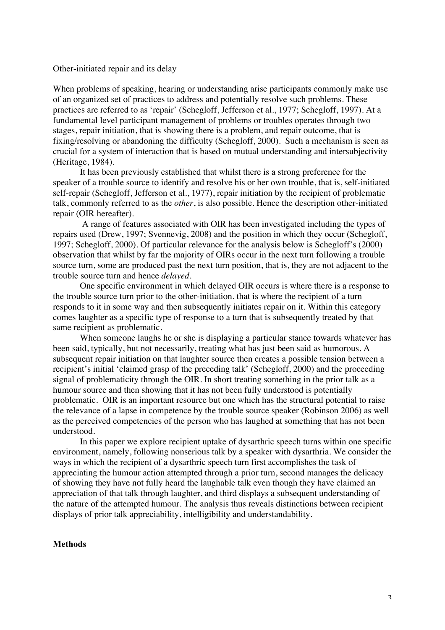### Other-initiated repair and its delay

When problems of speaking, hearing or understanding arise participants commonly make use of an organized set of practices to address and potentially resolve such problems. These practices are referred to as 'repair' (Schegloff, Jefferson et al., 1977; Schegloff, 1997). At a fundamental level participant management of problems or troubles operates through two stages, repair initiation, that is showing there is a problem, and repair outcome, that is fixing/resolving or abandoning the difficulty (Schegloff, 2000). Such a mechanism is seen as crucial for a system of interaction that is based on mutual understanding and intersubjectivity (Heritage, 1984).

It has been previously established that whilst there is a strong preference for the speaker of a trouble source to identify and resolve his or her own trouble, that is, self-initiated self-repair (Schegloff, Jefferson et al., 1977), repair initiation by the recipient of problematic talk, commonly referred to as the *other*, is also possible. Hence the description other-initiated repair (OIR hereafter).

A range of features associated with OIR has been investigated including the types of repairs used (Drew, 1997; Svennevig, 2008) and the position in which they occur (Schegloff, 1997; Schegloff, 2000). Of particular relevance for the analysis below is Schegloff's (2000) observation that whilst by far the majority of OIRs occur in the next turn following a trouble source turn, some are produced past the next turn position, that is, they are not adjacent to the trouble source turn and hence *delayed*.

One specific environment in which delayed OIR occurs is where there is a response to the trouble source turn prior to the other-initiation, that is where the recipient of a turn responds to it in some way and then subsequently initiates repair on it. Within this category comes laughter as a specific type of response to a turn that is subsequently treated by that same recipient as problematic.

When someone laughs he or she is displaying a particular stance towards whatever has been said, typically, but not necessarily, treating what has just been said as humorous. A subsequent repair initiation on that laughter source then creates a possible tension between a recipient's initial 'claimed grasp of the preceding talk' (Schegloff, 2000) and the proceeding signal of problematicity through the OIR. In short treating something in the prior talk as a humour source and then showing that it has not been fully understood is potentially problematic. OIR is an important resource but one which has the structural potential to raise the relevance of a lapse in competence by the trouble source speaker (Robinson 2006) as well as the perceived competencies of the person who has laughed at something that has not been understood.

In this paper we explore recipient uptake of dysarthric speech turns within one specific environment, namely, following nonserious talk by a speaker with dysarthria. We consider the ways in which the recipient of a dysarthric speech turn first accomplishes the task of appreciating the humour action attempted through a prior turn, second manages the delicacy of showing they have not fully heard the laughable talk even though they have claimed an appreciation of that talk through laughter, and third displays a subsequent understanding of the nature of the attempted humour. The analysis thus reveals distinctions between recipient displays of prior talk appreciability, intelligibility and understandability.

### **Methods**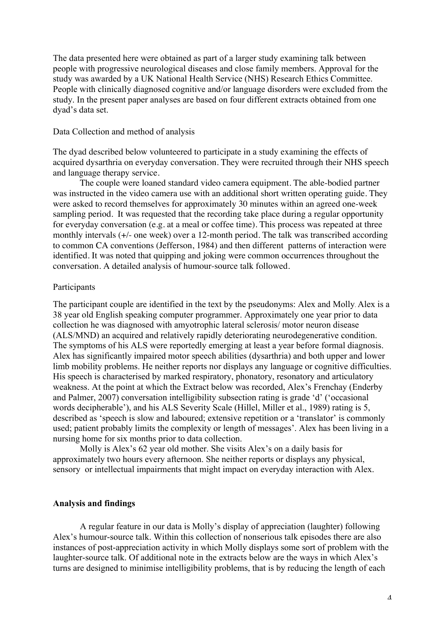The data presented here were obtained as part of a larger study examining talk between people with progressive neurological diseases and close family members. Approval for the study was awarded by a UK National Health Service (NHS) Research Ethics Committee. People with clinically diagnosed cognitive and/or language disorders were excluded from the study. In the present paper analyses are based on four different extracts obtained from one dyad's data set.

### Data Collection and method of analysis

The dyad described below volunteered to participate in a study examining the effects of acquired dysarthria on everyday conversation. They were recruited through their NHS speech and language therapy service.

The couple were loaned standard video camera equipment. The able-bodied partner was instructed in the video camera use with an additional short written operating guide. They were asked to record themselves for approximately 30 minutes within an agreed one-week sampling period. It was requested that the recording take place during a regular opportunity for everyday conversation (e.g. at a meal or coffee time). This process was repeated at three monthly intervals (+/- one week) over a 12-month period. The talk was transcribed according to common CA conventions (Jefferson, 1984) and then different patterns of interaction were identified. It was noted that quipping and joking were common occurrences throughout the conversation. A detailed analysis of humour-source talk followed.

# Participants

The participant couple are identified in the text by the pseudonyms: Alex and Molly. Alex is a 38 year old English speaking computer programmer. Approximately one year prior to data collection he was diagnosed with amyotrophic lateral sclerosis/ motor neuron disease (ALS/MND) an acquired and relatively rapidly deteriorating neurodegenerative condition. The symptoms of his ALS were reportedly emerging at least a year before formal diagnosis. Alex has significantly impaired motor speech abilities (dysarthria) and both upper and lower limb mobility problems. He neither reports nor displays any language or cognitive difficulties. His speech is characterised by marked respiratory, phonatory, resonatory and articulatory weakness. At the point at which the Extract below was recorded, Alex's Frenchay (Enderby and Palmer, 2007) conversation intelligibility subsection rating is grade 'd' ('occasional words decipherable'), and his ALS Severity Scale (Hillel, Miller et al., 1989) rating is 5, described as 'speech is slow and laboured; extensive repetition or a 'translator' is commonly used; patient probably limits the complexity or length of messages'. Alex has been living in a nursing home for six months prior to data collection.

Molly is Alex's 62 year old mother. She visits Alex's on a daily basis for approximately two hours every afternoon. She neither reports or displays any physical, sensory or intellectual impairments that might impact on everyday interaction with Alex.

# **Analysis and findings**

A regular feature in our data is Molly's display of appreciation (laughter) following Alex's humour-source talk. Within this collection of nonserious talk episodes there are also instances of post-appreciation activity in which Molly displays some sort of problem with the laughter-source talk. Of additional note in the extracts below are the ways in which Alex's turns are designed to minimise intelligibility problems, that is by reducing the length of each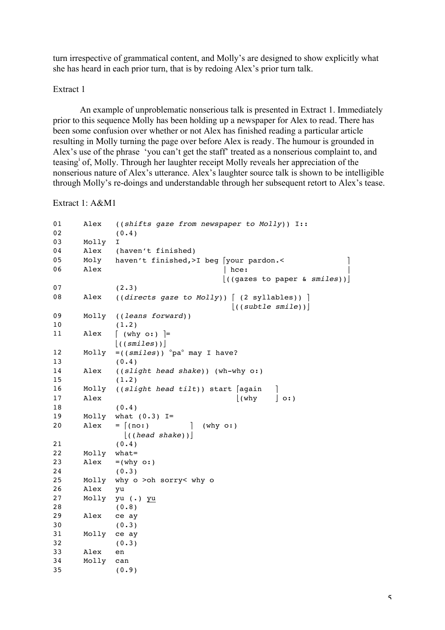turn irrespective of grammatical content, and Molly's are designed to show explicitly what she has heard in each prior turn, that is by redoing Alex's prior turn talk.

# Extract 1

An example of unproblematic nonserious talk is presented in Extract 1. Immediately prior to this sequence Molly has been holding up a newspaper for Alex to read. There has been some confusion over whether or not Alex has finished reading a particular article resulting in Molly turning the page over before Alex is ready. The humour is grounded in Alex's use of the phrase 'you can't get the staff' treated as a nonserious complaint to, and teasing<sup>i</sup> of, Molly. Through her laughter receipt Molly reveals her appreciation of the nonserious nature of Alex's utterance. Alex's laughter source talk is shown to be intelligible through Molly's re-doings and understandable through her subsequent retort to Alex's tease.

Extract 1: A&M1

| 01<br>02 | Alex  | ((shifts gaze from newspaper to Molly)) I::<br>(0.4)                     |
|----------|-------|--------------------------------------------------------------------------|
| 03       | Molly | I.                                                                       |
| 04       | Alex  | (haven't finished)                                                       |
| 05       | Moly  | haven't finished, >I beg [your pardon.<                                  |
| 06       | Alex  | $ $ hce:                                                                 |
|          |       | $\vert$ ((gazes to paper & smiles))                                      |
| 07       |       | (2.3)                                                                    |
| 08       | Alex  | $((directs gaze to Molly))$ $(2 syllables))$<br>$\vert$ ((subtle smile)) |
| 09       | Molly | ((leans forward))                                                        |
| 10       |       | (1.2)                                                                    |
| 11       | Alex  | $\lceil$ (why o:) $\rceil$ =                                             |
|          |       | $\vert$ ((smiles))                                                       |
| 12       | Molly | $= ((smlles))$ $^{\circ}$ pa $^{\circ}$ may I have?                      |
| 13       |       | (0.4)                                                                    |
| 14       | Alex  | ((slight head shake)) (wh-why o:)                                        |
| 15       |       | (1.2)                                                                    |
| 16       | Molly | ((slight head tilt)) start [again                                        |
| 17       | Alex  | $\vert$ (why<br>$\vert$ o: $\rangle$                                     |
| 18       |       | (0.4)                                                                    |
| 19       | Molly | what $(0.3)$ I=                                                          |
| 20       | Alex  | $= \lceil$ (no:)<br>$(\forall$ hy $\circ$ : $)$                          |
|          |       | $\vert$ ((head shake)) $\vert$                                           |
| 21       |       | (0.4)                                                                    |
| 22       | Molly | $what =$                                                                 |
| 23       | Alex  | $=(why \ o: )$                                                           |
| 24       |       | (0.3)                                                                    |
| 25       | Molly | why o >oh sorry< why o                                                   |
| 26       | Alex  | yu                                                                       |
| 27       | Molly | yu (.) yu                                                                |
| 28       |       | (0.8)                                                                    |
| 29       | Alex  | ce ay                                                                    |
| 30       |       | (0.3)                                                                    |
| 31       | Molly | ce ay                                                                    |
| 32       |       | (0.3)                                                                    |
| 33       | Alex  | en                                                                       |
| 34       | Molly | can                                                                      |
| 35       |       | (0.9)                                                                    |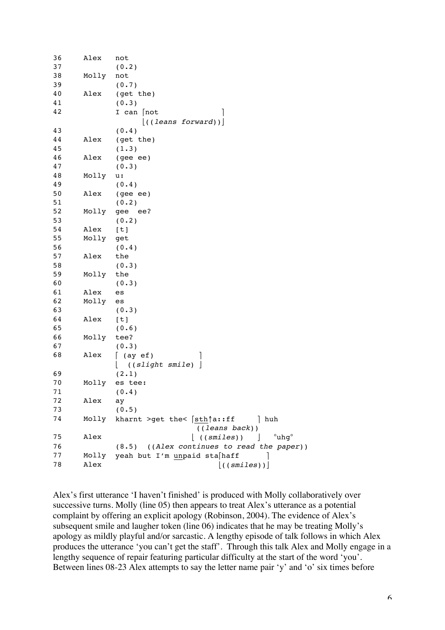| 36 | Alex  | not                                             |
|----|-------|-------------------------------------------------|
| 37 |       | (0.2)                                           |
| 38 | Molly | not                                             |
| 39 |       | (0.7)                                           |
| 40 | Alex  | (get the)                                       |
| 41 |       | (0.3)                                           |
| 42 |       | I can [not                                      |
|    |       | $\vert$ ((leans forward))                       |
| 43 |       | (0.4)                                           |
| 44 | Alex  | (get the)                                       |
| 45 |       | (1.3)                                           |
| 46 | Alex  | (gee ee)                                        |
| 47 |       | (0.3)                                           |
| 48 | Molly | u:                                              |
| 49 |       | (0.4)                                           |
| 50 | Alex  | (gee ee)                                        |
| 51 |       | (0.2)                                           |
| 52 | Molly | gee ee?                                         |
| 53 |       | (0.2)                                           |
| 54 | Alex  | [t]                                             |
| 55 | Molly | get                                             |
| 56 |       | (0.4)                                           |
| 57 | Alex  | the                                             |
| 58 |       | (0.3)                                           |
| 59 | Molly | the                                             |
| 60 |       | (0.3)                                           |
| 61 | Alex  | es                                              |
| 62 | Molly | es                                              |
| 63 |       | (0.3)                                           |
| 64 | Alex  | [t]                                             |
| 65 |       | (0.6)                                           |
| 66 | Molly | tee?                                            |
| 67 |       | (0.3)                                           |
| 68 | Alex  | $(ay \teftrightarrow f)$                        |
|    |       | ((slight smile)                                 |
| 69 |       | (2.1)                                           |
| 70 | Molly | es tee:                                         |
| 71 |       | (0.4)                                           |
| 72 | Alex  | ay                                              |
| 73 |       | (0.5)                                           |
| 74 | Molly | kharnt >get the< [sth]a::ff<br>  huh            |
|    |       | ((leans back))                                  |
| 75 | Alex  | $^{\circ}$ uhg $^{\circ}$<br>$\vert$ ((smiles)) |
| 76 |       | ((Alex continues to read the paper))<br>(8.5)   |
| 77 | Molly | yeah but I'm unpaid sta haff                    |
| 78 | Alex  |                                                 |
|    |       | ((smiles))                                      |

Alex's first utterance 'I haven't finished' is produced with Molly collaboratively over successive turns. Molly (line 05) then appears to treat Alex's utterance as a potential complaint by offering an explicit apology (Robinson, 2004). The evidence of Alex's subsequent smile and laugher token (line 06) indicates that he may be treating Molly's apology as mildly playful and/or sarcastic. A lengthy episode of talk follows in which Alex produces the utterance 'you can't get the staff'. Through this talk Alex and Molly engage in a lengthy sequence of repair featuring particular difficulty at the start of the word 'you'. Between lines 08-23 Alex attempts to say the letter name pair 'y' and 'o' six times before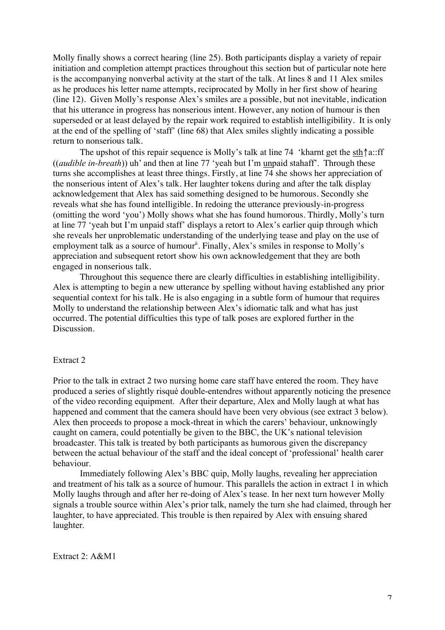Molly finally shows a correct hearing (line 25). Both participants display a variety of repair initiation and completion attempt practices throughout this section but of particular note here is the accompanying nonverbal activity at the start of the talk. At lines 8 and 11 Alex smiles as he produces his letter name attempts, reciprocated by Molly in her first show of hearing (line 12). Given Molly's response Alex's smiles are a possible, but not inevitable, indication that his utterance in progress has nonserious intent. However, any notion of humour is then superseded or at least delayed by the repair work required to establish intelligibility. It is only at the end of the spelling of 'staff' (line 68) that Alex smiles slightly indicating a possible return to nonserious talk.

The upshot of this repair sequence is Molly's talk at line 74 'kharnt get the sth↑a::ff ((*audible in-breath*)) uh' and then at line 77 'yeah but I'm unpaid stahaff'. Through these turns she accomplishes at least three things. Firstly, at line 74 she shows her appreciation of the nonserious intent of Alex's talk. Her laughter tokens during and after the talk display acknowledgement that Alex has said something designed to be humorous. Secondly she reveals what she has found intelligible. In redoing the utterance previously-in-progress (omitting the word 'you') Molly shows what she has found humorous. Thirdly, Molly's turn at line 77 'yeah but I'm unpaid staff' displays a retort to Alex's earlier quip through which she reveals her unproblematic understanding of the underlying tease and play on the use of employment talk as a source of humour<sup>ii</sup>. Finally, Alex's smiles in response to Molly's appreciation and subsequent retort show his own acknowledgement that they are both engaged in nonserious talk.

Throughout this sequence there are clearly difficulties in establishing intelligibility. Alex is attempting to begin a new utterance by spelling without having established any prior sequential context for his talk. He is also engaging in a subtle form of humour that requires Molly to understand the relationship between Alex's idiomatic talk and what has just occurred. The potential difficulties this type of talk poses are explored further in the Discussion.

# Extract 2

Prior to the talk in extract 2 two nursing home care staff have entered the room. They have produced a series of slightly risqué double-entendres without apparently noticing the presence of the video recording equipment. After their departure, Alex and Molly laugh at what has happened and comment that the camera should have been very obvious (see extract 3 below). Alex then proceeds to propose a mock-threat in which the carers' behaviour, unknowingly caught on camera, could potentially be given to the BBC, the UK's national television broadcaster. This talk is treated by both participants as humorous given the discrepancy between the actual behaviour of the staff and the ideal concept of 'professional' health carer behaviour.

Immediately following Alex's BBC quip, Molly laughs, revealing her appreciation and treatment of his talk as a source of humour. This parallels the action in extract 1 in which Molly laughs through and after her re-doing of Alex's tease. In her next turn however Molly signals a trouble source within Alex's prior talk, namely the turn she had claimed, through her laughter, to have appreciated. This trouble is then repaired by Alex with ensuing shared laughter.

Extract 2: A&M1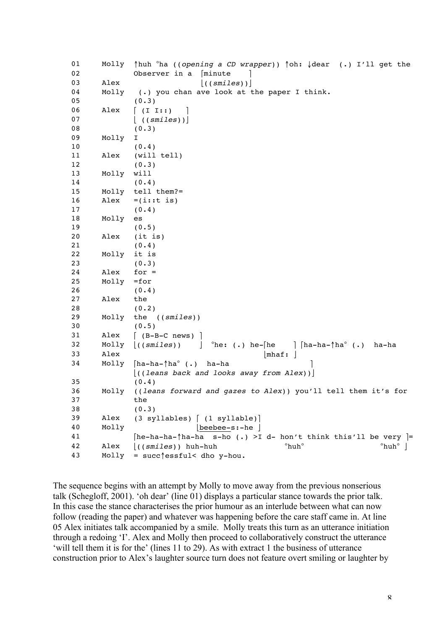```
01 Molly ↑huh °ha ((opening a CD wrapper)) ↑oh: ↓dear (.) I'll get the 
02 Observer in a [minute
03 Alex \vert ((smiles)) \vert04 Molly (.) you chan ave look at the paper I think.
05 (0.3)
06 Alex (II II:))07 |( (smiles) )|08 (0.3)
09 Molly I
10 (0.4)
11 Alex (will tell)
12 (0.3)
13 Molly will
14 (0.4)
15 Molly tell them?=
16 Alex =(i::t is)17 (0.4)
18 Molly es
19 (0.5)
20 Alex (it is)
21 (0.4)
22 Molly it is
23 (0.3)
24 Alex for =
25 Molly =for
26 (0.4)
27 Alex the
28 (0.2)
29 Molly the ((smiles))
30 (0.5)
31 Alex [ (B-B-C news) ]
32 Molly \vert ((smiles)) \vert °he: (.) he-[he \vert [ha-ha-\uparrowha° (.) ha-ha
33 Alex |\text{mhaf:}|34 Molly [ha-ha-↑ha° (.) ha-ha  │
              ⎣((leans back and looks away from Alex))⎦
35 (0.4)
36 Molly ((leans forward and gazes to Alex)) you'll tell them it's for 
37 the
38 (0.3)
39 Alex (3 syllables) [ (1 syllable)]
40 Molly \vertbeebee-s:-he \vert41 
[he-ha-ha-↑ha-ha s-ho (.) >I d- hon't think this'll be very ]=
42 Alex \left| \frac{1}{5} \times \frac{1}{5} \times \frac{1}{5} \times \frac{1}{5} \times \frac{1}{5} \times \frac{1}{5} \times \frac{1}{5} \times \frac{1}{5} \times \frac{1}{5} \times \frac{1}{5} \times \frac{1}{5} \times \frac{1}{5} \times \frac{1}{5} \times \frac{1}{5} \times \frac{1}{5} \times \frac{1}{5} \times \frac{1}{5} \times \frac{1}{5} \times \frac{1}{5} \times \frac{1}{5} \times \frac{1}{5} \times \frac{1}{5} \times \frac{1}{5} \times \frac{43 Molly = succ↑essful< dho y-hou.
```
The sequence begins with an attempt by Molly to move away from the previous nonserious talk (Schegloff, 2001). 'oh dear' (line 01) displays a particular stance towards the prior talk. In this case the stance characterises the prior humour as an interlude between what can now follow (reading the paper) and whatever was happening before the care staff came in. At line 05 Alex initiates talk accompanied by a smile. Molly treats this turn as an utterance initiation through a redoing 'I'. Alex and Molly then proceed to collaboratively construct the utterance 'will tell them it is for the' (lines 11 to 29). As with extract 1 the business of utterance construction prior to Alex's laughter source turn does not feature overt smiling or laughter by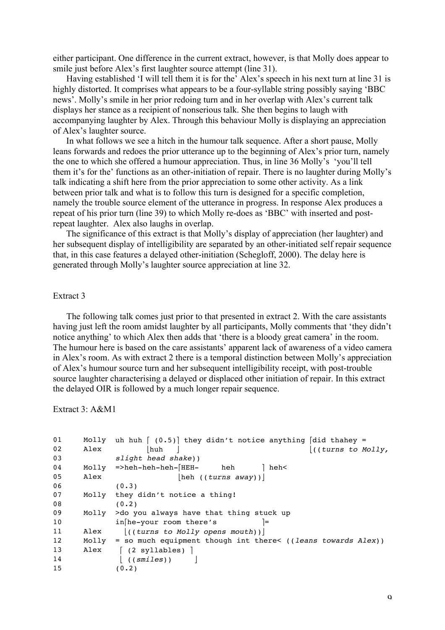either participant. One difference in the current extract, however, is that Molly does appear to smile just before Alex's first laughter source attempt (line 31).

Having established 'I will tell them it is for the' Alex's speech in his next turn at line 31 is highly distorted. It comprises what appears to be a four-syllable string possibly saying 'BBC news'. Molly's smile in her prior redoing turn and in her overlap with Alex's current talk displays her stance as a recipient of nonserious talk. She then begins to laugh with accompanying laughter by Alex. Through this behaviour Molly is displaying an appreciation of Alex's laughter source.

In what follows we see a hitch in the humour talk sequence. After a short pause, Molly leans forwards and redoes the prior utterance up to the beginning of Alex's prior turn, namely the one to which she offered a humour appreciation. Thus, in line 36 Molly's 'you'll tell them it's for the' functions as an other-initiation of repair. There is no laughter during Molly's talk indicating a shift here from the prior appreciation to some other activity. As a link between prior talk and what is to follow this turn is designed for a specific completion, namely the trouble source element of the utterance in progress. In response Alex produces a repeat of his prior turn (line 39) to which Molly re-does as 'BBC' with inserted and postrepeat laughter. Alex also laughs in overlap.

The significance of this extract is that Molly's display of appreciation (her laughter) and her subsequent display of intelligibility are separated by an other-initiated self repair sequence that, in this case features a delayed other-initiation (Schegloff, 2000). The delay here is generated through Molly's laughter source appreciation at line 32.

### Extract 3

The following talk comes just prior to that presented in extract 2. With the care assistants having just left the room amidst laughter by all participants, Molly comments that 'they didn't notice anything' to which Alex then adds that 'there is a bloody great camera' in the room. The humour here is based on the care assistants' apparent lack of awareness of a video camera in Alex's room. As with extract 2 there is a temporal distinction between Molly's appreciation of Alex's humour source turn and her subsequent intelligibility receipt, with post-trouble source laughter characterising a delayed or displaced other initiation of repair. In this extract the delayed OIR is followed by a much longer repair sequence.

Extract 3: A&M1

```
01 Molly uh huh (0.5) they didn't notice anything \lceil did thahey =
02 Alex ⎣huh ⎦ ⎣((turns to Molly, 
03 slight head shake)) 
04 Molly =>heh-heh-heh-[HEH- heh ] heh<
05 Alex \begin{bmatrix} \text{beh} & (\text{turns away}) \end{bmatrix}(0.3)07 Molly they didn't notice a thing!
08 (0.2)
09 Molly >do you always have that thing stuck up 
10 in[he-your room there's 1=
11 Alex \left| \right| ((turns to Molly opens mouth))
12 Molly = so much equipment though int there< ((leans towards Alex))
13 Alex (2 \text{ syllables})14 ((smiles)) |
15 (0.2)
```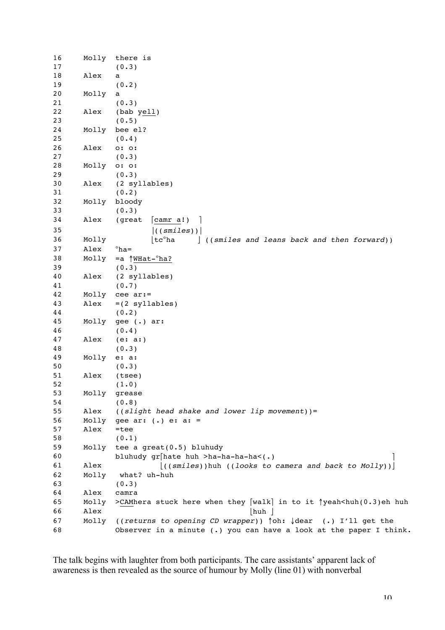```
16 Molly there is
17 (0.3)
18 Alex a
19 (0.2)
20 Molly a
21 (0.3)
22 Alex (bab yell)
23 (0.5)
24 Molly bee el?
25 (0.4)
26 Alex o: o:
27 (0.3)
28 Molly o: o:
29 (0.3)
30 Alex (2 syllables)
31 (0.2)
32 Molly bloody
33 (0.3)
34 Alex (great [camr a!) ]
35 ⎥((smiles))⎥ 
36 Molly \lfloor t c^{\circ} h a \rfloor ((smiles and leans back and then forward))<br>37 Alex \circ h a =37 Alex
38 Molly =a \frac{WHat-{}^{o}ha?}{(0.3)}(0.3)40 Alex (2 syllables)
41 (0.7)
42 Molly cee ar:=
43 Alex =(2 syllables)
44 (0.2)
45 Molly gee (.) ar:
46 (0.4)
47 Alex (e: a:)
48 (0.3)
49 Molly e: a:
50 (0.3)
51 Alex (tsee)
52 (1.0)
53 Molly grease
54 (0.8)
55 Alex ((slight head shake and lower lip movement))=
56 Molly gee ar: (.) e: a: =
57 Alex =tee
58 (0.1)
59 Molly tee a great(0.5) bluhudy 
60 bluhudy qr[hate huh >ha-ha-ha<(.)
61 Alex ⎣((smiles))huh ((looks to camera and back to Molly))⎦
62 Molly what? uh-huh
63 (0.3)
64 Alex camra
65 Molly >CAMhera stuck here when they [walk] in to it ↑yeah<huh(0.3)eh huh
66 Alex \lfloorhuh \rfloor67 Molly ((returns to opening CD wrapper)) ↑oh: ↓dear (.) I'll get the 
68 Observer in a minute (.) you can have a look at the paper I think.
```
The talk begins with laughter from both participants. The care assistants' apparent lack of awareness is then revealed as the source of humour by Molly (line 01) with nonverbal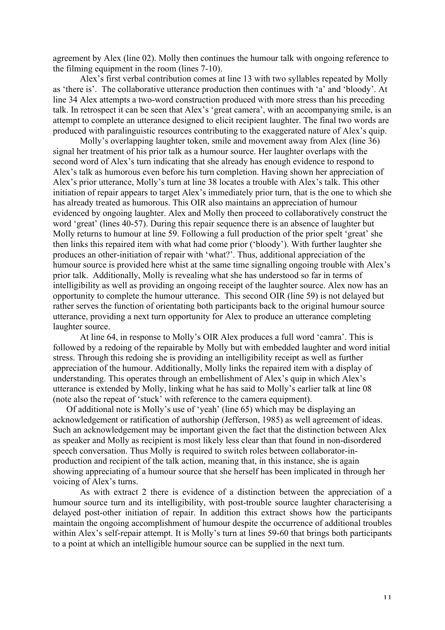agreement by Alex (line 02). Molly then continues the humour talk with ongoing reference to the filming equipment in the room (lines 7-10).

Alex's first verbal contribution comes at line 13 with two syllables repeated by Molly as 'there is'. The collaborative utterance production then continues with 'a' and 'bloody'. At line 34 Alex attempts a two-word construction produced with more stress than his preceding talk. In retrospect it can be seen that Alex's 'great camera', with an accompanying smile, is an attempt to complete an utterance designed to elicit recipient laughter. The final two words are produced with paralinguistic resources contributing to the exaggerated nature of Alex's quip.

Molly's overlapping laughter token, smile and movement away from Alex (line 36) signal her treatment of his prior talk as a humour source. Her laughter overlaps with the second word of Alex's turn indicating that she already has enough evidence to respond to Alex's talk as humorous even before his turn completion. Having shown her appreciation of Alex's prior utterance, Molly's turn at line 38 locates a trouble with Alex's talk. This other initiation of repair appears to target Alex's immediately prior turn, that is the one to which she has already treated as humorous. This OIR also maintains an appreciation of humour evidenced by ongoing laughter. Alex and Molly then proceed to collaboratively construct the word 'great' (lines 40-57). During this repair sequence there is an absence of laughter but Molly returns to humour at line 59. Following a full production of the prior spelt 'great' she then links this repaired item with what had come prior ('bloody'). With further laughter she produces an other-initiation of repair with 'what?'. Thus, additional appreciation of the humour source is provided here whist at the same time signalling ongoing trouble with Alex's prior talk. Additionally, Molly is revealing what she has understood so far in terms of intelligibility as well as providing an ongoing receipt of the laughter source. Alex now has an opportunity to complete the humour utterance. This second OIR (line 59) is not delayed but rather serves the function of orientating both participants back to the original humour source utterance, providing a next turn opportunity for Alex to produce an utterance completing laughter source.

At line 64, in response to Molly's OIR Alex produces a full word 'camra'. This is followed by a redoing of the repairable by Molly but with embedded laughter and word initial stress. Through this redoing she is providing an intelligibility receipt as well as further appreciation of the humour. Additionally, Molly links the repaired item with a display of understanding. This operates through an embellishment of Alex's quip in which Alex's utterance is extended by Molly, linking what he has said to Molly's earlier talk at line 08 (note also the repeat of 'stuck' with reference to the camera equipment).

Of additional note is Molly's use of 'yeah' (line 65) which may be displaying an acknowledgement or ratification of authorship (Jefferson, 1985) as well agreement of ideas. Such an acknowledgement may be important given the fact that the distinction between Alex as speaker and Molly as recipient is most likely less clear than that found in non-disordered speech conversation. Thus Molly is required to switch roles between collaborator-inproduction and recipient of the talk action, meaning that, in this instance, she is again showing appreciating of a humour source that she herself has been implicated in through her voicing of Alex's turns.

As with extract 2 there is evidence of a distinction between the appreciation of a humour source turn and its intelligibility, with post-trouble source laughter characterising a delayed post-other initiation of repair. In addition this extract shows how the participants maintain the ongoing accomplishment of humour despite the occurrence of additional troubles within Alex's self-repair attempt. It is Molly's turn at lines 59-60 that brings both participants to a point at which an intelligible humour source can be supplied in the next turn.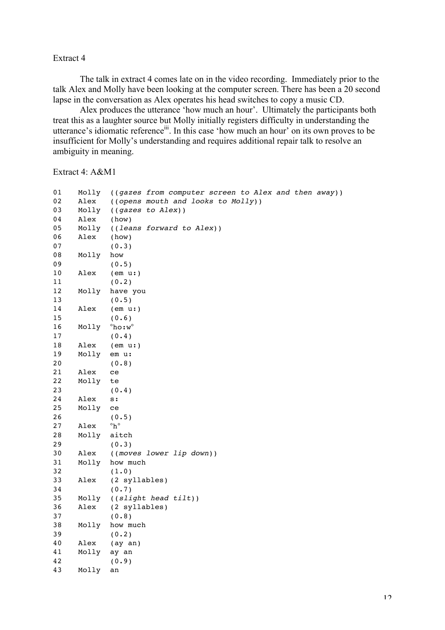### Extract 4

The talk in extract 4 comes late on in the video recording. Immediately prior to the talk Alex and Molly have been looking at the computer screen. There has been a 20 second lapse in the conversation as Alex operates his head switches to copy a music CD.

Alex produces the utterance 'how much an hour'. Ultimately the participants both treat this as a laughter source but Molly initially registers difficulty in understanding the utterance's idiomatic referenceiii. In this case 'how much an hour' on its own proves to be insufficient for Molly's understanding and requires additional repair talk to resolve an ambiguity in meaning.

Extract 4: A&M1

| 01     | Molly | ((gazes from computer screen to Alex and then away)) |
|--------|-------|------------------------------------------------------|
| 02     | Alex  | ((opens mouth and looks to Molly))                   |
| 03     | Molly | ((gazes to Alex))                                    |
| 04     | Alex  | (how)                                                |
| 05     | Molly | ((leans forward to Alex))                            |
| 06     | Alex  | (how)                                                |
| 07     |       | (0.3)                                                |
| 08     | Molly | how                                                  |
| 09     |       | (0.5)                                                |
| $1\,0$ | Alex  | (em u: )                                             |
| 11     |       | (0.2)                                                |
| 12     | Molly | have you                                             |
| 13     |       | (0.5)                                                |
| 14     | Alex  | (em u: )                                             |
| 15     |       | (0.6)                                                |
| 16     | Molly | $^{\circ}$ ho:w $^{\circ}$                           |
| 17     |       | (0.4)                                                |
| 18     | Alex  | (em u: )                                             |
| 19     | Molly | em u:                                                |
| 20     |       | (0.8)                                                |
| 21     | Alex  | ce                                                   |
| 22     | Molly | te                                                   |
| 23     |       | (0.4)                                                |
| 24     | Alex  | s:                                                   |
| 25     | Molly | ce                                                   |
| 26     |       | (0.5)                                                |
| 27     | Alex  | $^{\circ}h^{\circ}$                                  |
| 28     | Molly | aitch                                                |
| 29     |       | (0.3)                                                |
| 30     | Alex  | ((moves lower lip down))                             |
| 31     | Molly | how much                                             |
| 32     |       | (1.0)                                                |
| 33     | Alex  | (2 syllables)                                        |
| 34     |       | (0.7)                                                |
| 35     | Molly | ((slight head tilt))                                 |
| 36     | Alex  | (2 syllables)                                        |
| 37     |       | (0.8)                                                |
| 38     | Molly | how much                                             |
| 39     |       | (0.2)                                                |
| 40     | Alex  | $(ay \ an)$                                          |
| 41     | Molly | ay an                                                |
| 42     |       | (0.9)                                                |
| 43     | Molly | an                                                   |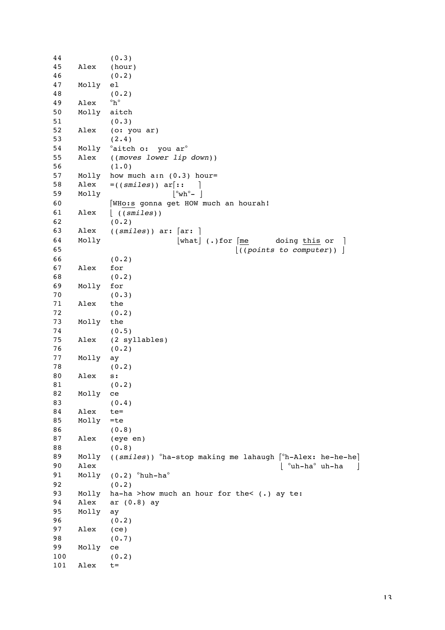| 44  |       | (0.3)                                                                                                  |
|-----|-------|--------------------------------------------------------------------------------------------------------|
| 45  | Alex  | (hour)                                                                                                 |
| 46  |       | (0.2)                                                                                                  |
| 47  | Molly | el                                                                                                     |
| 48  |       | (0.2)                                                                                                  |
| 49  | Alex  | $^{\circ}h^{\circ}$                                                                                    |
| 50  | Molly | aitch                                                                                                  |
| 51  |       | (0.3)                                                                                                  |
| 52  | Alex  | (o: you ar)                                                                                            |
| 53  |       | (2.4)                                                                                                  |
| 54  |       | Molly °aitch o: you ar°                                                                                |
| 55  | Alex  | ((moves lower lip down))                                                                               |
| 56  |       | (1.0)                                                                                                  |
| 57  | Molly | how much $a:n$ (0.3) hour=                                                                             |
| 58  | Alex  | $= ((smlles))$ ar[::                                                                                   |
|     |       | $\sim$ 1<br>$ °wh°-$                                                                                   |
| 59  | Molly |                                                                                                        |
| 60  |       | [WHo:s gonna get HOW much an hourah!                                                                   |
| 61  | Alex  | $\lfloor$ ((smiles))                                                                                   |
| 62  |       | (0.2)                                                                                                  |
| 63  | Alex  | $((smiles))$ ar: $[\text{ar:}]$                                                                        |
| 64  | Molly | $\lceil \text{what} \rceil$ (.) for $\lceil \frac{\text{me}}{\text{me}} \rceil$<br>doing this or<br>-1 |
| 65  |       | ((points to computer))                                                                                 |
| 66  |       | (0.2)                                                                                                  |
| 67  | Alex  | for                                                                                                    |
| 68  |       | (0.2)                                                                                                  |
| 69  | Molly | for                                                                                                    |
| 70  |       | (0.3)                                                                                                  |
| 71  | Alex  | the                                                                                                    |
| 72  |       | (0.2)                                                                                                  |
| 73  | Molly | the                                                                                                    |
| 74  |       | (0.5)                                                                                                  |
| 75  | Alex  | (2 syllables)                                                                                          |
| 76  |       | (0.2)                                                                                                  |
| 77  | Molly | ay                                                                                                     |
| 78  |       | (0.2)                                                                                                  |
| 80  | Alex  | s:                                                                                                     |
| 81  |       | (0.2)                                                                                                  |
| 82  | Molly | ce                                                                                                     |
| 83  |       | (0.4)                                                                                                  |
| 84  | Alex  | $te =$                                                                                                 |
| 85  | Molly | $=$ te                                                                                                 |
| 86  |       | (0.8)                                                                                                  |
| 87  | Alex  | (eye en)                                                                                               |
| 88  |       | (0.8)                                                                                                  |
| 89  | Molly | ((smiles)) °ha-stop making me lahaugh [°h-Alex: he-he-he]                                              |
| 90  | Alex  | °uh-ha°uh-ha                                                                                           |
| 91  | Molly |                                                                                                        |
| 92  |       | $(0.2)$ $^{\circ}$ huh-ha $^{\circ}$<br>(0.2)                                                          |
|     |       |                                                                                                        |
| 93  | Molly | ha-ha >how much an hour for the< (.) ay te:                                                            |
| 94  | Alex  | ar $(0.8)$ ay                                                                                          |
| 95  | Molly | ay                                                                                                     |
| 96  |       | (0.2)                                                                                                  |
| 97  | Alex  | (ce)                                                                                                   |
| 98  |       | (0.7)                                                                                                  |
| 99  | Molly | ce                                                                                                     |
| 100 |       | (0.2)                                                                                                  |
| 101 | Alex  | $t =$                                                                                                  |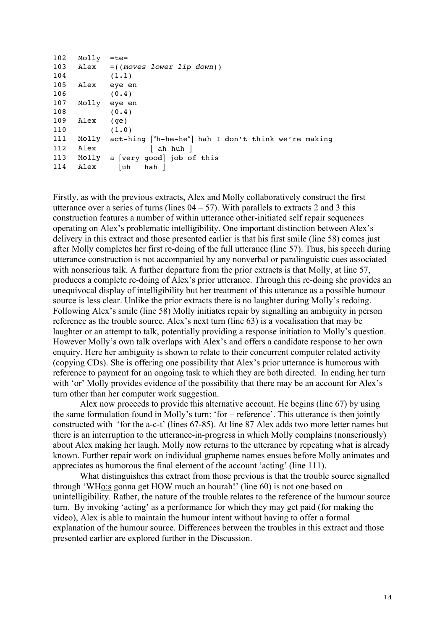| 102 | Molly | $=$ te $=$                                                |
|-----|-------|-----------------------------------------------------------|
| 103 |       | Alex =((moves lower lip down))                            |
| 104 |       | (1.1)                                                     |
| 105 | Alex  | eye en                                                    |
| 106 |       | (0.4)                                                     |
| 107 | Molly | eye en                                                    |
| 108 |       | (0.4)                                                     |
| 109 | Alex  | (qe)                                                      |
| 110 |       | (1.0)                                                     |
| 111 |       | Molly act-hing [°h-he-he°] hah I don't think we're making |
| 112 | Alex  | ah huh                                                    |
| 113 |       | Molly a [very good] job of this                           |
| 114 | Alex  | uh<br>hah l                                               |

Firstly, as with the previous extracts, Alex and Molly collaboratively construct the first utterance over a series of turns (lines  $04 - 57$ ). With parallels to extracts 2 and 3 this construction features a number of within utterance other-initiated self repair sequences operating on Alex's problematic intelligibility. One important distinction between Alex's delivery in this extract and those presented earlier is that his first smile (line 58) comes just after Molly completes her first re-doing of the full utterance (line 57). Thus, his speech during utterance construction is not accompanied by any nonverbal or paralinguistic cues associated with nonserious talk. A further departure from the prior extracts is that Molly, at line 57, produces a complete re-doing of Alex's prior utterance. Through this re-doing she provides an unequivocal display of intelligibility but her treatment of this utterance as a possible humour source is less clear. Unlike the prior extracts there is no laughter during Molly's redoing. Following Alex's smile (line 58) Molly initiates repair by signalling an ambiguity in person reference as the trouble source. Alex's next turn (line 63) is a vocalisation that may be laughter or an attempt to talk, potentially providing a response initiation to Molly's question. However Molly's own talk overlaps with Alex's and offers a candidate response to her own enquiry. Here her ambiguity is shown to relate to their concurrent computer related activity (copying CDs). She is offering one possibility that Alex's prior utterance is humorous with reference to payment for an ongoing task to which they are both directed. In ending her turn with 'or' Molly provides evidence of the possibility that there may be an account for Alex's turn other than her computer work suggestion.

Alex now proceeds to provide this alternative account. He begins (line 67) by using the same formulation found in Molly's turn: 'for + reference'. This utterance is then jointly constructed with 'for the a-c-t' (lines 67-85). At line 87 Alex adds two more letter names but there is an interruption to the utterance-in-progress in which Molly complains (nonseriously) about Alex making her laugh. Molly now returns to the utterance by repeating what is already known. Further repair work on individual grapheme names ensues before Molly animates and appreciates as humorous the final element of the account 'acting' (line 111).

What distinguishes this extract from those previous is that the trouble source signalled through 'WHo:s gonna get HOW much an hourah!' (line 60) is not one based on unintelligibility. Rather, the nature of the trouble relates to the reference of the humour source turn. By invoking 'acting' as a performance for which they may get paid (for making the video), Alex is able to maintain the humour intent without having to offer a formal explanation of the humour source. Differences between the troubles in this extract and those presented earlier are explored further in the Discussion.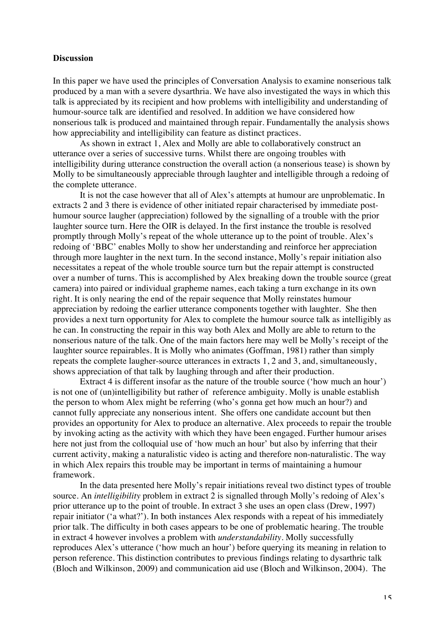### **Discussion**

In this paper we have used the principles of Conversation Analysis to examine nonserious talk produced by a man with a severe dysarthria. We have also investigated the ways in which this talk is appreciated by its recipient and how problems with intelligibility and understanding of humour-source talk are identified and resolved. In addition we have considered how nonserious talk is produced and maintained through repair. Fundamentally the analysis shows how appreciability and intelligibility can feature as distinct practices.

As shown in extract 1, Alex and Molly are able to collaboratively construct an utterance over a series of successive turns. Whilst there are ongoing troubles with intelligibility during utterance construction the overall action (a nonserious tease) is shown by Molly to be simultaneously appreciable through laughter and intelligible through a redoing of the complete utterance.

It is not the case however that all of Alex's attempts at humour are unproblematic. In extracts 2 and 3 there is evidence of other initiated repair characterised by immediate posthumour source laugher (appreciation) followed by the signalling of a trouble with the prior laughter source turn. Here the OIR is delayed. In the first instance the trouble is resolved promptly through Molly's repeat of the whole utterance up to the point of trouble. Alex's redoing of 'BBC' enables Molly to show her understanding and reinforce her appreciation through more laughter in the next turn. In the second instance, Molly's repair initiation also necessitates a repeat of the whole trouble source turn but the repair attempt is constructed over a number of turns. This is accomplished by Alex breaking down the trouble source (great camera) into paired or individual grapheme names, each taking a turn exchange in its own right. It is only nearing the end of the repair sequence that Molly reinstates humour appreciation by redoing the earlier utterance components together with laughter. She then provides a next turn opportunity for Alex to complete the humour source talk as intelligibly as he can. In constructing the repair in this way both Alex and Molly are able to return to the nonserious nature of the talk. One of the main factors here may well be Molly's receipt of the laughter source repairables. It is Molly who animates (Goffman, 1981) rather than simply repeats the complete laugher-source utterances in extracts 1, 2 and 3, and, simultaneously, shows appreciation of that talk by laughing through and after their production.

Extract 4 is different insofar as the nature of the trouble source ('how much an hour') is not one of (un)intelligibility but rather of reference ambiguity. Molly is unable establish the person to whom Alex might be referring (who's gonna get how much an hour?) and cannot fully appreciate any nonserious intent. She offers one candidate account but then provides an opportunity for Alex to produce an alternative. Alex proceeds to repair the trouble by invoking acting as the activity with which they have been engaged. Further humour arises here not just from the colloquial use of 'how much an hour' but also by inferring that their current activity, making a naturalistic video is acting and therefore non-naturalistic. The way in which Alex repairs this trouble may be important in terms of maintaining a humour framework.

In the data presented here Molly's repair initiations reveal two distinct types of trouble source. An *intelligibility* problem in extract 2 is signalled through Molly's redoing of Alex's prior utterance up to the point of trouble. In extract 3 she uses an open class (Drew, 1997) repair initiator ('a what?'). In both instances Alex responds with a repeat of his immediately prior talk. The difficulty in both cases appears to be one of problematic hearing. The trouble in extract 4 however involves a problem with *understandability*. Molly successfully reproduces Alex's utterance ('how much an hour') before querying its meaning in relation to person reference. This distinction contributes to previous findings relating to dysarthric talk (Bloch and Wilkinson, 2009) and communication aid use (Bloch and Wilkinson, 2004). The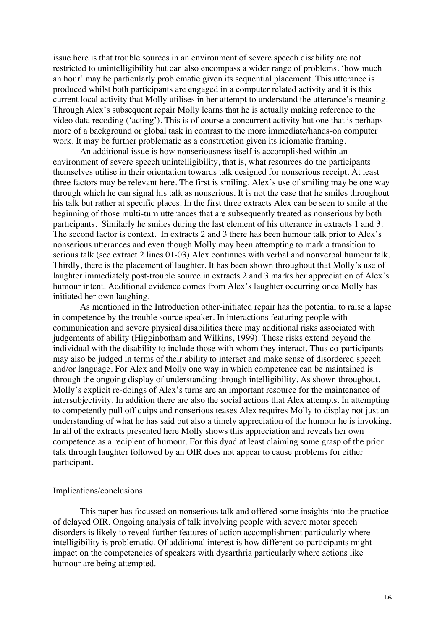issue here is that trouble sources in an environment of severe speech disability are not restricted to unintelligibility but can also encompass a wider range of problems. 'how much an hour' may be particularly problematic given its sequential placement. This utterance is produced whilst both participants are engaged in a computer related activity and it is this current local activity that Molly utilises in her attempt to understand the utterance's meaning. Through Alex's subsequent repair Molly learns that he is actually making reference to the video data recoding ('acting'). This is of course a concurrent activity but one that is perhaps more of a background or global task in contrast to the more immediate/hands-on computer work. It may be further problematic as a construction given its idiomatic framing.

An additional issue is how nonseriousness itself is accomplished within an environment of severe speech unintelligibility, that is, what resources do the participants themselves utilise in their orientation towards talk designed for nonserious receipt. At least three factors may be relevant here. The first is smiling. Alex's use of smiling may be one way through which he can signal his talk as nonserious. It is not the case that he smiles throughout his talk but rather at specific places. In the first three extracts Alex can be seen to smile at the beginning of those multi-turn utterances that are subsequently treated as nonserious by both participants. Similarly he smiles during the last element of his utterance in extracts 1 and 3. The second factor is context. In extracts 2 and 3 there has been humour talk prior to Alex's nonserious utterances and even though Molly may been attempting to mark a transition to serious talk (see extract 2 lines 01-03) Alex continues with verbal and nonverbal humour talk. Thirdly, there is the placement of laughter. It has been shown throughout that Molly's use of laughter immediately post-trouble source in extracts 2 and 3 marks her appreciation of Alex's humour intent. Additional evidence comes from Alex's laughter occurring once Molly has initiated her own laughing.

As mentioned in the Introduction other-initiated repair has the potential to raise a lapse in competence by the trouble source speaker. In interactions featuring people with communication and severe physical disabilities there may additional risks associated with judgements of ability (Higginbotham and Wilkins, 1999). These risks extend beyond the individual with the disability to include those with whom they interact. Thus co-participants may also be judged in terms of their ability to interact and make sense of disordered speech and/or language. For Alex and Molly one way in which competence can be maintained is through the ongoing display of understanding through intelligibility. As shown throughout, Molly's explicit re-doings of Alex's turns are an important resource for the maintenance of intersubjectivity. In addition there are also the social actions that Alex attempts. In attempting to competently pull off quips and nonserious teases Alex requires Molly to display not just an understanding of what he has said but also a timely appreciation of the humour he is invoking. In all of the extracts presented here Molly shows this appreciation and reveals her own competence as a recipient of humour. For this dyad at least claiming some grasp of the prior talk through laughter followed by an OIR does not appear to cause problems for either participant.

#### Implications/conclusions

This paper has focussed on nonserious talk and offered some insights into the practice of delayed OIR. Ongoing analysis of talk involving people with severe motor speech disorders is likely to reveal further features of action accomplishment particularly where intelligibility is problematic. Of additional interest is how different co-participants might impact on the competencies of speakers with dysarthria particularly where actions like humour are being attempted.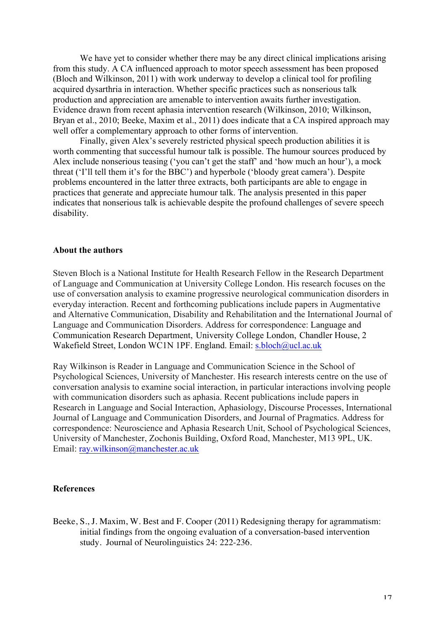We have yet to consider whether there may be any direct clinical implications arising from this study. A CA influenced approach to motor speech assessment has been proposed (Bloch and Wilkinson, 2011) with work underway to develop a clinical tool for profiling acquired dysarthria in interaction. Whether specific practices such as nonserious talk production and appreciation are amenable to intervention awaits further investigation. Evidence drawn from recent aphasia intervention research (Wilkinson, 2010; Wilkinson, Bryan et al., 2010; Beeke, Maxim et al., 2011) does indicate that a CA inspired approach may well offer a complementary approach to other forms of intervention.

Finally, given Alex's severely restricted physical speech production abilities it is worth commenting that successful humour talk is possible. The humour sources produced by Alex include nonserious teasing ('you can't get the staff' and 'how much an hour'), a mock threat ('I'll tell them it's for the BBC') and hyperbole ('bloody great camera'). Despite problems encountered in the latter three extracts, both participants are able to engage in practices that generate and appreciate humour talk. The analysis presented in this paper indicates that nonserious talk is achievable despite the profound challenges of severe speech disability.

### **About the authors**

Steven Bloch is a National Institute for Health Research Fellow in the Research Department of Language and Communication at University College London. His research focuses on the use of conversation analysis to examine progressive neurological communication disorders in everyday interaction. Recent and forthcoming publications include papers in Augmentative and Alternative Communication, Disability and Rehabilitation and the International Journal of Language and Communication Disorders. Address for correspondence: Language and Communication Research Department, University College London, Chandler House, 2 Wakefield Street, London WC1N 1PF. England. Email: s.bloch@ucl.ac.uk

Ray Wilkinson is Reader in Language and Communication Science in the School of Psychological Sciences, University of Manchester. His research interests centre on the use of conversation analysis to examine social interaction, in particular interactions involving people with communication disorders such as aphasia. Recent publications include papers in Research in Language and Social Interaction, Aphasiology, Discourse Processes, International Journal of Language and Communication Disorders, and Journal of Pragmatics. Address for correspondence: Neuroscience and Aphasia Research Unit, School of Psychological Sciences, University of Manchester, Zochonis Building, Oxford Road, Manchester, M13 9PL, UK. Email: ray.wilkinson@manchester.ac.uk

### **References**

Beeke, S., J. Maxim, W. Best and F. Cooper (2011) Redesigning therapy for agrammatism: initial findings from the ongoing evaluation of a conversation-based intervention study. Journal of Neurolinguistics 24: 222-236.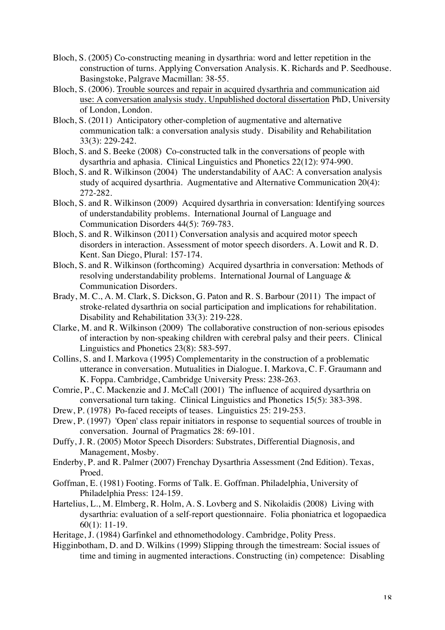- Bloch, S. (2005) Co-constructing meaning in dysarthria: word and letter repetition in the construction of turns. Applying Conversation Analysis. K. Richards and P. Seedhouse. Basingstoke, Palgrave Macmillan: 38-55.
- Bloch, S. (2006). Trouble sources and repair in acquired dysarthria and communication aid use: A conversation analysis study. Unpublished doctoral dissertation PhD, University of London, London.
- Bloch, S. (2011) Anticipatory other-completion of augmentative and alternative communication talk: a conversation analysis study. Disability and Rehabilitation 33(3): 229-242.
- Bloch, S. and S. Beeke (2008) Co-constructed talk in the conversations of people with dysarthria and aphasia. Clinical Linguistics and Phonetics 22(12): 974-990.
- Bloch, S. and R. Wilkinson (2004) The understandability of AAC: A conversation analysis study of acquired dysarthria. Augmentative and Alternative Communication 20(4): 272-282.
- Bloch, S. and R. Wilkinson (2009) Acquired dysarthria in conversation: Identifying sources of understandability problems. International Journal of Language and Communication Disorders 44(5): 769-783.
- Bloch, S. and R. Wilkinson (2011) Conversation analysis and acquired motor speech disorders in interaction. Assessment of motor speech disorders. A. Lowit and R. D. Kent. San Diego, Plural: 157-174.
- Bloch, S. and R. Wilkinson (forthcoming) Acquired dysarthria in conversation: Methods of resolving understandability problems. International Journal of Language & Communication Disorders.
- Brady, M. C., A. M. Clark, S. Dickson, G. Paton and R. S. Barbour (2011) The impact of stroke-related dysarthria on social participation and implications for rehabilitation. Disability and Rehabilitation 33(3): 219-228.
- Clarke, M. and R. Wilkinson (2009) The collaborative construction of non-serious episodes of interaction by non-speaking children with cerebral palsy and their peers. Clinical Linguistics and Phonetics 23(8): 583-597.
- Collins, S. and I. Markova (1995) Complementarity in the construction of a problematic utterance in conversation. Mutualities in Dialogue. I. Markova, C. F. Graumann and K. Foppa. Cambridge, Cambridge University Press: 238-263.
- Comrie, P., C. Mackenzie and J. McCall (2001) The influence of acquired dysarthria on conversational turn taking. Clinical Linguistics and Phonetics 15(5): 383-398.
- Drew, P. (1978) Po-faced receipts of teases. Linguistics 25: 219-253.
- Drew, P. (1997) 'Open' class repair initiators in response to sequential sources of trouble in conversation. Journal of Pragmatics 28: 69-101.
- Duffy, J. R. (2005) Motor Speech Disorders: Substrates, Differential Diagnosis, and Management, Mosby.
- Enderby, P. and R. Palmer (2007) Frenchay Dysarthria Assessment (2nd Edition). Texas, Proed.
- Goffman, E. (1981) Footing. Forms of Talk. E. Goffman. Philadelphia, University of Philadelphia Press: 124-159.
- Hartelius, L., M. Elmberg, R. Holm, A. S. Lovberg and S. Nikolaidis (2008) Living with dysarthria: evaluation of a self-report questionnaire. Folia phoniatrica et logopaedica 60(1): 11-19.
- Heritage, J. (1984) Garfinkel and ethnomethodology. Cambridge, Polity Press.
- Higginbotham, D. and D. Wilkins (1999) Slipping through the timestream: Social issues of time and timing in augmented interactions. Constructing (in) competence: Disabling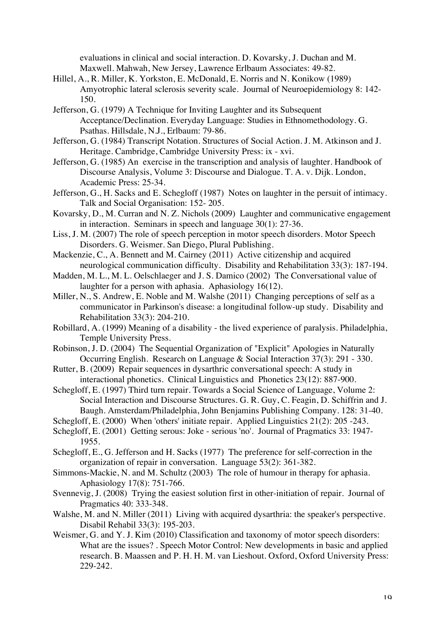evaluations in clinical and social interaction. D. Kovarsky, J. Duchan and M. Maxwell. Mahwah, New Jersey, Lawrence Erlbaum Associates: 49-82.

- Hillel, A., R. Miller, K. Yorkston, E. McDonald, E. Norris and N. Konikow (1989) Amyotrophic lateral sclerosis severity scale. Journal of Neuroepidemiology 8: 142- 150.
- Jefferson, G. (1979) A Technique for Inviting Laughter and its Subsequent Acceptance/Declination. Everyday Language: Studies in Ethnomethodology. G. Psathas. Hillsdale, N.J., Erlbaum: 79-86.
- Jefferson, G. (1984) Transcript Notation. Structures of Social Action. J. M. Atkinson and J. Heritage. Cambridge, Cambridge University Press: ix - xvi.
- Jefferson, G. (1985) An exercise in the transcription and analysis of laughter. Handbook of Discourse Analysis, Volume 3: Discourse and Dialogue. T. A. v. Dijk. London, Academic Press: 25-34.
- Jefferson, G., H. Sacks and E. Schegloff (1987) Notes on laughter in the persuit of intimacy. Talk and Social Organisation: 152- 205.
- Kovarsky, D., M. Curran and N. Z. Nichols (2009) Laughter and communicative engagement in interaction. Seminars in speech and language 30(1): 27-36.
- Liss, J. M. (2007) The role of speech perception in motor speech disorders. Motor Speech Disorders. G. Weismer. San Diego, Plural Publishing.
- Mackenzie, C., A. Bennett and M. Cairney (2011) Active citizenship and acquired neurological communication difficulty. Disability and Rehabilitation 33(3): 187-194.
- Madden, M. L., M. L. Oelschlaeger and J. S. Damico (2002) The Conversational value of laughter for a person with aphasia. Aphasiology 16(12).
- Miller, N., S. Andrew, E. Noble and M. Walshe (2011) Changing perceptions of self as a communicator in Parkinson's disease: a longitudinal follow-up study. Disability and Rehabilitation 33(3): 204-210.
- Robillard, A. (1999) Meaning of a disability the lived experience of paralysis. Philadelphia, Temple University Press.
- Robinson, J. D. (2004) The Sequential Organization of "Explicit" Apologies in Naturally Occurring English. Research on Language & Social Interaction 37(3): 291 - 330.
- Rutter, B. (2009) Repair sequences in dysarthric conversational speech: A study in interactional phonetics. Clinical Linguistics and Phonetics 23(12): 887-900.
- Schegloff, E. (1997) Third turn repair. Towards a Social Science of Language, Volume 2: Social Interaction and Discourse Structures. G. R. Guy, C. Feagin, D. Schiffrin and J. Baugh. Amsterdam/Philadelphia, John Benjamins Publishing Company. 128: 31-40.
- Schegloff, E. (2000) When 'others' initiate repair. Applied Linguistics 21(2): 205 -243.
- Schegloff, E. (2001) Getting serous: Joke serious 'no'. Journal of Pragmatics 33: 1947- 1955.
- Schegloff, E., G. Jefferson and H. Sacks (1977) The preference for self-correction in the organization of repair in conversation. Language 53(2): 361-382.
- Simmons-Mackie, N. and M. Schultz (2003) The role of humour in therapy for aphasia. Aphasiology 17(8): 751-766.
- Svennevig, J. (2008) Trying the easiest solution first in other-initiation of repair. Journal of Pragmatics 40: 333-348.
- Walshe, M. and N. Miller (2011) Living with acquired dysarthria: the speaker's perspective. Disabil Rehabil 33(3): 195-203.
- Weismer, G. and Y. J. Kim (2010) Classification and taxonomy of motor speech disorders: What are the issues? . Speech Motor Control: New developments in basic and applied research. B. Maassen and P. H. H. M. van Lieshout. Oxford, Oxford University Press: 229-242.